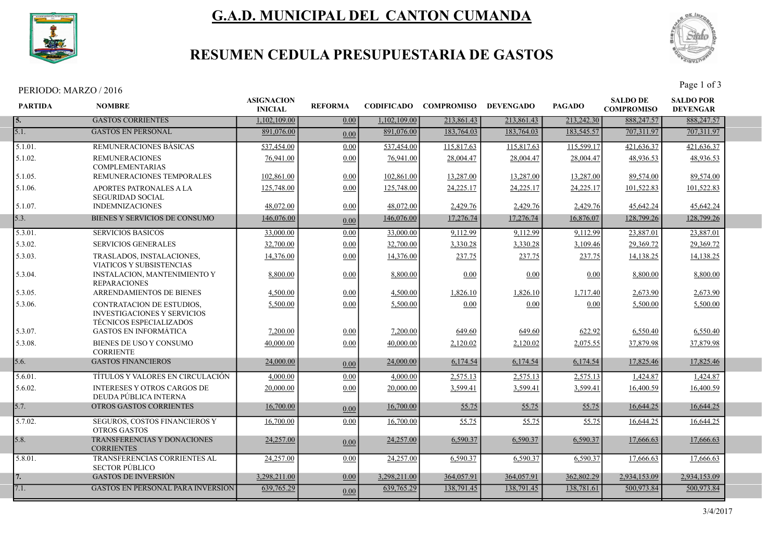

# G.A.D. MUNICIPAL DEL CANTON CUMANDA



## RESUMEN CEDULA PRESUPUESTARIA DE GASTOS

PERIODO: MARZO / 2016 Page 1 of 3

| <b>PARTIDA</b> | <b>NOMBRE</b>                                                                                            | <b>ASIGNACION</b><br><b>INICIAL</b> | <b>REFORMA</b> |              | CODIFICADO COMPROMISO DEVENGADO |            | <b>PAGADO</b> | <b>SALDO DE</b><br><b>COMPROMISO</b> | <b>SALDO POR</b><br><b>DEVENGAR</b> |  |
|----------------|----------------------------------------------------------------------------------------------------------|-------------------------------------|----------------|--------------|---------------------------------|------------|---------------|--------------------------------------|-------------------------------------|--|
| 5.             | <b>GASTOS CORRIENTES</b>                                                                                 | 1.102.109.00                        | 0.00           | 1,102,109.00 | 213,861.43                      | 213,861.43 | 213,242.30    | 888,247.57                           | 888,247.57                          |  |
| 5.1.           | <b>GASTOS EN PERSONAL</b>                                                                                | 891,076.00                          | 0.00           | 891,076.00   | 183,764.03                      | 183,764.03 | 183,545.57    | 707,311.97                           | 707,311.97                          |  |
| 5.1.01.        | <b>REMUNERACIONES BASICAS</b>                                                                            | 537,454.00                          | 0.00           | 537,454.00   | 115,817.63                      | 115,817.63 | 115,599.17    | 421,636.37                           | 421,636.37                          |  |
| 5.1.02.        | <b>REMUNERACIONES</b><br><b>COMPLEMENTARIAS</b>                                                          | 76,941.00                           | 0.00           | 76,941.00    | 28,004.47                       | 28,004.47  | 28,004.47     | 48,936.53                            | 48,936.53                           |  |
| 5.1.05.        | REMUNERACIONES TEMPORALES                                                                                | 102,861.00                          | 0.00           | 102,861.00   | 13,287.00                       | 13,287.00  | 13,287.00     | 89,574.00                            | 89,574.00                           |  |
| 5.1.06.        | APORTES PATRONALES A LA<br><b>SEGURIDAD SOCIAL</b>                                                       | 125,748.00                          | 0.00           | 125,748.00   | 24,225.17                       | 24,225.17  | 24,225.17     | 101,522.83                           | 101,522.83                          |  |
| 5.1.07.        | <b>INDEMNIZACIONES</b>                                                                                   | 48,072.00                           | 0.00           | 48,072.00    | 2,429.76                        | 2,429.76   | 2,429.76      | 45,642.24                            | 45,642.24                           |  |
| 5.3.           | <b>BIENES Y SERVICIOS DE CONSUMO</b>                                                                     | 146,076.00                          | 0.00           | 146,076.00   | 17,276.74                       | 17,276.74  | 16,876.07     | 128,799.26                           | 128,799.26                          |  |
| 5.3.01.        | <b>SERVICIOS BASICOS</b>                                                                                 | 33,000.00                           | 0.00           | 33,000.00    | 9,112.99                        | 9,112.99   | 9,112.99      | 23,887.01                            | 23,887.01                           |  |
| 5.3.02.        | <b>SERVICIOS GENERALES</b>                                                                               | 32,700.00                           | 0.00           | 32,700.00    | 3,330.28                        | 3,330.28   | 3,109.46      | 29,369.72                            | 29,369.72                           |  |
| 5.3.03.        | TRASLADOS, INSTALACIONES,<br>VIATICOS Y SUBSISTENCIAS                                                    | 14,376.00                           | 0.00           | 14,376.00    | 237.75                          | 237.75     | 237.75        | 14,138.25                            | 14,138.25                           |  |
| 5.3.04.        | <b>INSTALACION, MANTENIMIENTO Y</b><br><b>REPARACIONES</b>                                               | 8,800.00                            | 0.00           | 8,800.00     | 0.00                            | 0.00       | 0.00          | 8,800.00                             | 8,800.00                            |  |
| 5.3.05.        | <b>ARRENDAMIENTOS DE BIENES</b>                                                                          | 4,500.00                            | 0.00           | 4,500.00     | 1,826.10                        | 1,826.10   | 1,717.40      | 2,673.90                             | 2,673.90                            |  |
| 5.3.06.        | <b>CONTRATACION DE ESTUDIOS.</b><br><b>INVESTIGACIONES Y SERVICIOS</b><br><b>TÉCNICOS ESPECIALIZADOS</b> | 5,500.00                            | 0.00           | 5,500.00     | 0.00                            | 0.00       | 0.00          | 5,500.00                             | 5,500.00                            |  |
| 5.3.07.        | <b>GASTOS EN INFORMATICA</b>                                                                             | 7,200.00                            | 0.00           | 7,200.00     | 649.60                          | 649.60     | 622.92        | 6,550.40                             | 6,550.40                            |  |
| 5.3.08.        | BIENES DE USO Y CONSUMO<br><b>CORRIENTE</b>                                                              | 40,000.00                           | 0.00           | 40,000.00    | 2,120.02                        | 2,120.02   | 2,075.55      | 37,879.98                            | 37,879.98                           |  |
| 5.6.           | <b>GASTOS FINANCIEROS</b>                                                                                | 24,000.00                           | 0.00           | 24,000.00    | 6,174.54                        | 6,174.54   | 6,174.54      | 17,825.46                            | 17,825.46                           |  |
| 5.6.01.        | TÍTULOS Y VALORES EN CIRCULACIÓN                                                                         | 4,000.00                            | 0.00           | 4,000.00     | 2,575.13                        | 2,575.13   | 2,575.13      | 1,424.87                             | 1,424.87                            |  |
| 5.6.02.        | <b>INTERESES Y OTROS CARGOS DE</b><br>DEUDA PÚBLICA INTERNA                                              | 20,000.00                           | 0.00           | 20,000.00    | 3,599.41                        | 3,599.41   | 3,599.41      | 16,400.59                            | 16,400.59                           |  |
| 5.7.           | OTROS GASTOS CORRIENTES                                                                                  | 16,700.00                           | 0.00           | 16,700.00    | 55.75                           | 55.75      | 55.75         | 16,644.25                            | 16,644.25                           |  |
| 5.7.02.        | <b>SEGUROS, COSTOS FINANCIEROS Y</b><br><b>OTROS GASTOS</b>                                              | 16,700.00                           | 0.00           | 16,700.00    | 55.75                           | 55.75      | 55.75         | 16,644.25                            | 16,644.25                           |  |
| 5.8.           | TRANSFERENCIAS Y DONACIONES<br><b>CORRIENTES</b>                                                         | 24,257.00                           | 0.00           | 24,257.00    | 6,590.37                        | 6,590.37   | 6,590.37      | 17,666.63                            | 17,666.63                           |  |
| 5.8.01.        | TRANSFERENCIAS CORRIENTES AL<br><b>SECTOR PÚBLICO</b>                                                    | 24,257.00                           | 0.00           | 24,257.00    | 6,590.37                        | 6,590.37   | 6,590.37      | 17,666.63                            | 17,666.63                           |  |
| 7.             | <b>GASTOS DE INVERSIÓN</b>                                                                               | 3.298.211.00                        | 0.00           | 3.298.211.00 | 364,057.91                      | 364,057.91 | 362,802.29    | 2.934,153.09                         | 2,934,153.09                        |  |
| 7.1.           | <b>GASTOS EN PERSONAL PARA INVERSIÓN</b>                                                                 | 639,765.29                          | 0.00           | 639,765.29   | 138,791.45                      | 138,791.45 | 138,781.61    | 500,973.84                           | 500,973.84                          |  |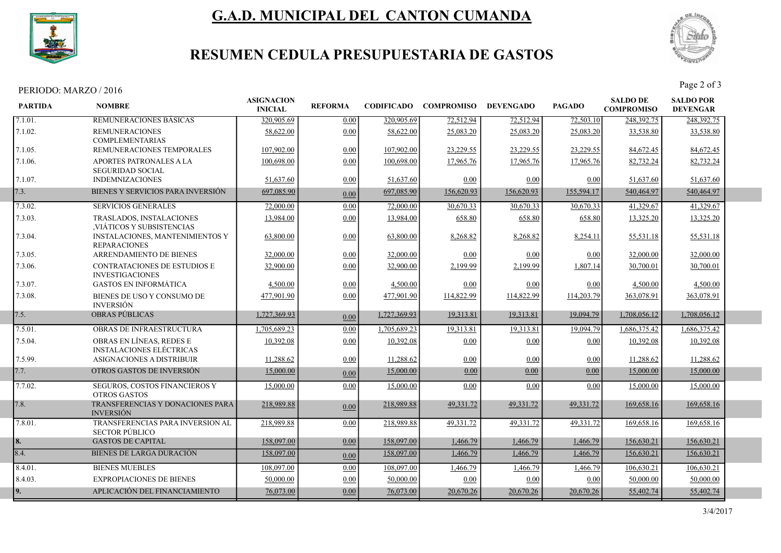

# G.A.D. MUNICIPAL DEL CANTON CUMANDA



## RESUMEN CEDULA PRESUPUESTARIA DE GASTOS

PERIODO: MARZO / 2016 Page 2 of 3

| <b>PARTIDA</b> | <b>NOMBRE</b>                                               | <b>ASIGNACION</b><br><b>INICIAL</b> | <b>REFORMA</b> | <b>CODIFICADO</b> | <b>COMPROMISO</b> | <b>DEVENGADO</b> | <b>PAGADO</b> | <b>SALDO DE</b><br><b>COMPROMISO</b> | <b>SALDO POR</b><br><b>DEVENGAR</b> |  |
|----------------|-------------------------------------------------------------|-------------------------------------|----------------|-------------------|-------------------|------------------|---------------|--------------------------------------|-------------------------------------|--|
| 7.1.01.        | REMUNERACIONES BASICAS                                      | 320,905.69                          | 0.00           | 320,905.69        | 72,512.94         | 72,512.94        | 72,503.10     | 248,392.75                           | 248,392.75                          |  |
| 7.1.02.        | <b>REMUNERACIONES</b><br><b>COMPLEMENTARIAS</b>             | 58,622.00                           | 0.00           | 58,622.00         | 25,083.20         | 25,083.20        | 25,083.20     | 33,538.80                            | 33,538.80                           |  |
| 7.1.05.        | REMUNERACIONES TEMPORALES                                   | 107,902.00                          | 0.00           | 107,902.00        | 23,229.55         | 23,229.55        | 23,229.55     | 84,672.45                            | 84,672.45                           |  |
| 7.1.06.        | <b>APORTES PATRONALES A LA</b><br><b>SEGURIDAD SOCIAL</b>   | 100,698.00                          | 0.00           | 100,698.00        | 17,965.76         | 17,965.76        | 17,965.76     | 82,732.24                            | 82,732.24                           |  |
| 7.1.07.        | <b>INDEMNIZACIONES</b>                                      | 51,637.60                           | 0.00           | 51,637.60         | 0.00              | 0.00             | 0.00          | 51,637.60                            | 51,637.60                           |  |
| 7.3.           | BIENES Y SERVICIOS PARA INVERSIÓN                           | 697,085.90                          | 0.00           | 697,085.90        | 156,620.93        | 156,620.93       | 155,594.17    | 540,464.97                           | 540,464.97                          |  |
| 7.3.02.        | <b>SERVICIOS GENERALES</b>                                  | 72,000.00                           | 0.00           | 72,000.00         | 30,670.33         | 30,670.33        | 30,670.33     | 41,329.67                            | 41,329.67                           |  |
| 7.3.03.        | <b>TRASLADOS, INSTALACIONES</b><br>VIÁTICOS Y SUBSISTENCIAS | 13,984.00                           | 0.00           | 13,984.00         | 658.80            | 658.80           | 658.80        | 13,325.20                            | 13,325.20                           |  |
| 7.3.04.        | INSTALACIONES, MANTENIMIENTOS Y<br><b>REPARACIONES</b>      | 63,800.00                           | 0.00           | 63,800.00         | 8,268.82          | 8,268.82         | 8,254.11      | 55,531.18                            | 55,531.18                           |  |
| 7.3.05.        | ARRENDAMIENTO DE BIENES                                     | 32,000.00                           | 0.00           | 32,000.00         | 0.00              | 0.00             | 0.00          | 32,000.00                            | 32,000.00                           |  |
| 7.3.06.        | CONTRATACIONES DE ESTUDIOS E<br><b>INVESTIGACIONES</b>      | 32,900.00                           | 0.00           | 32,900.00         | 2.199.99          | 2,199.99         | 1,807.14      | 30,700.01                            | 30,700.01                           |  |
| 7.3.07.        | <b>GASTOS EN INFORMÁTICA</b>                                | 4,500.00                            | 0.00           | 4,500.00          | 0.00              | 0.00             | 0.00          | 4,500.00                             | 4,500.00                            |  |
| 7.3.08.        | BIENES DE USO Y CONSUMO DE<br><b>INVERSIÓN</b>              | 477,901.90                          | 0.00           | 477,901.90        | 114,822.99        | 114,822.99       | 114,203.79    | 363,078.91                           | 363,078.91                          |  |
| 7.5.           | <b>OBRAS PÚBLICAS</b>                                       | 1,727,369.93                        | 0.00           | 1,727,369.93      | 19,313.81         | 19,313.81        | 19,094.79     | 1,708,056.12                         | 1,708,056.12                        |  |
| 7.5.01.        | OBRAS DE INFRAESTRUCTURA                                    | 1,705,689.23                        | 0.00           | 1,705,689.23      | 19,313.81         | 19,313.81        | 19,094.79     | 1,686,375.42                         | 1,686,375.42                        |  |
| 7.5.04.        | OBRAS EN LÍNEAS, REDES E<br><b>INSTALACIONES ELÉCTRICAS</b> | 10.392.08                           | 0.00           | 10.392.08         | 0.00              | 0.00             | 0.00          | 10,392.08                            | 10.392.08                           |  |
| 7.5.99.        | ASIGNACIONES A DISTRIBUIR                                   | 11,288.62                           | 0.00           | 11,288.62         | 0.00              | 0.00             | 0.00          | 11,288.62                            | 11,288.62                           |  |
| 7.7.           | OTROS GASTOS DE INVERSIÓN                                   | 15,000.00                           | 0.00           | 15,000.00         | 0.00              | 0.00             | 0.00          | 15,000.00                            | 15,000.00                           |  |
| 7.7.02.        | SEGUROS, COSTOS FINANCIEROS Y<br><b>OTROS GASTOS</b>        | 15,000.00                           | 0.00           | 15,000.00         | 0.00              | 0.00             | 0.00          | 15,000.00                            | 15,000.00                           |  |
| 7.8.           | TRANSFERENCIAS Y DONACIONES PARA<br><b>INVERSIÓN</b>        | 218,989.88                          | 0.00           | 218,989.88        | 49,331.72         | 49,331.72        | 49,331.72     | 169,658.16                           | 169,658.16                          |  |
| 7.8.01.        | TRANSFERENCIAS PARA INVERSION AL<br><b>SECTOR PÚBLICO</b>   | 218,989.88                          | 0.00           | 218,989.88        | 49,331.72         | 49,331.72        | 49,331.72     | 169,658.16                           | 169,658.16                          |  |
| 8.             | <b>GASTOS DE CAPITAL</b>                                    | 158,097.00                          | 0.00           | 158,097.00        | 1,466.79          | 1,466.79         | 1,466.79      | 156,630.21                           | 156,630.21                          |  |
| 8.4.           | <b>BIENES DE LARGA DURACIÓN</b>                             | 158,097.00                          | 0.00           | 158,097.00        | 1,466.79          | 1,466.79         | 1,466.79      | 156,630.21                           | 156,630.21                          |  |
| 8.4.01.        | <b>BIENES MUEBLES</b>                                       | 108,097.00                          | 0.00           | 108,097.00        | 1,466.79          | 1.466.79         | .466.79       | 106,630.21                           | 106.630.21                          |  |
| 8.4.03.        | <b>EXPROPIACIONES DE BIENES</b>                             | 50,000.00                           | 0.00           | 50,000.00         | 0.00              | 0.00             | 0.00          | 50,000.00                            | 50,000.00                           |  |
| 9.             | APLICACIÓN DEL FINANCIAMIENTO                               | 76,073.00                           | 0.00           | 76,073.00         | 20,670.26         | 20,670.26        | 20,670.26     | 55,402.74                            | 55,402.74                           |  |